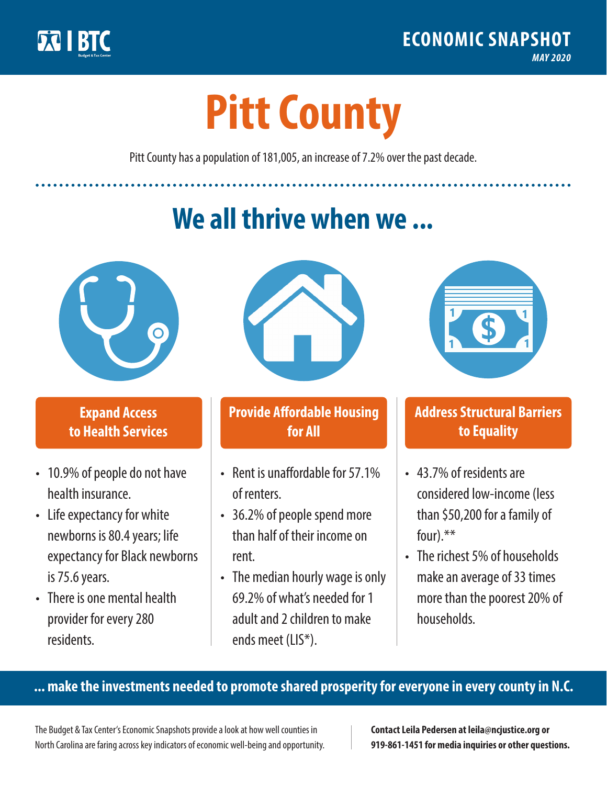

**1**

# **Pitt County**

Pitt County has a population of 181,005, an increase of 7.2% over the past decade.

# **We all thrive when we ...**



**\$ <sup>1</sup>**

**\$ <sup>1</sup>**

## **Expand Access to Health Services**

- 10.9% of people do not have health insurance.
- Life expectancy for white newborns is 80.4years; life expectancy for Black newborns is 75.6 years.
- There is one mental health provider for every 280 residents.



## **Provide Affordable Housing for All**

- Rent is unaffordable for 57 1% of renters.
- 36.2% of people spend more than half of their income on rent.
- The median hourly wage is only 69.2% of what's needed for 1 adult and 2 children to make ends meet (LIS\*).



## **Address Structural Barriers to Equality**

- 43.7% of residents are considered low-income (less than \$50,200 for a family of four).\*\*
- The richest 5% of households make an average of 33 times more than the poorest 20% of households.

#### **... make the investments needed to promote shared prosperity for everyone in every county in N.C.**

The Budget & Tax Center's Economic Snapshots provide a look at how well counties in North Carolina are faring across key indicators of economic well-being and opportunity.